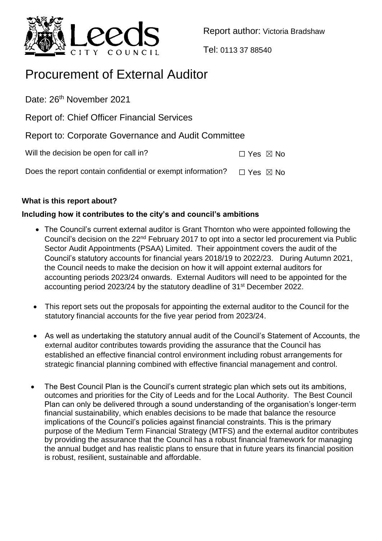

Report author: Victoria Bradshaw

Tel: 0113 37 88540

# Procurement of External Auditor

Date: 26<sup>th</sup> November 2021

Report of: Chief Officer Financial Services

Report to: Corporate Governance and Audit Committee

Will the decision be open for call in?  $\Box$  Yes  $\boxtimes$  No

Does the report contain confidential or exempt information?  $□$  Yes  $□$  No

## **What is this report about?**

## **Including how it contributes to the city's and council's ambitions**

- The Council's current external auditor is Grant Thornton who were appointed following the Council's decision on the 22nd February 2017 to opt into a sector led procurement via Public Sector Audit Appointments (PSAA) Limited. Their appointment covers the audit of the Council's statutory accounts for financial years 2018/19 to 2022/23. During Autumn 2021, the Council needs to make the decision on how it will appoint external auditors for accounting periods 2023/24 onwards. External Auditors will need to be appointed for the accounting period 2023/24 by the statutory deadline of 31st December 2022.
- This report sets out the proposals for appointing the external auditor to the Council for the statutory financial accounts for the five year period from 2023/24.
- As well as undertaking the statutory annual audit of the Council's Statement of Accounts, the external auditor contributes towards providing the assurance that the Council has established an effective financial control environment including robust arrangements for strategic financial planning combined with effective financial management and control.
- The Best Council Plan is the Council's current strategic plan which sets out its ambitions, outcomes and priorities for the City of Leeds and for the Local Authority. The Best Council Plan can only be delivered through a sound understanding of the organisation's longer-term financial sustainability, which enables decisions to be made that balance the resource implications of the Council's policies against financial constraints. This is the primary purpose of the Medium Term Financial Strategy (MTFS) and the external auditor contributes by providing the assurance that the Council has a robust financial framework for managing the annual budget and has realistic plans to ensure that in future years its financial position is robust, resilient, sustainable and affordable.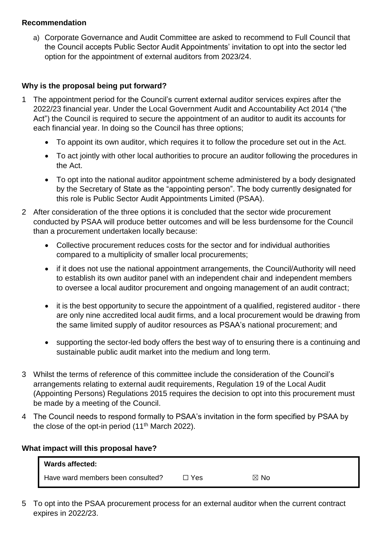### **Recommendation**

a) Corporate Governance and Audit Committee are asked to recommend to Full Council that the Council accepts Public Sector Audit Appointments' invitation to opt into the sector led option for the appointment of external auditors from 2023/24.

## **Why is the proposal being put forward?**

- 1 The appointment period for the Council's current external auditor services expires after the 2022/23 financial year. Under the Local Government Audit and Accountability Act 2014 ("the Act") the Council is required to secure the appointment of an auditor to audit its accounts for each financial year. In doing so the Council has three options;
	- To appoint its own auditor, which requires it to follow the procedure set out in the Act.
	- To act jointly with other local authorities to procure an auditor following the procedures in the Act.
	- To opt into the national auditor appointment scheme administered by a body designated by the Secretary of State as the "appointing person". The body currently designated for this role is Public Sector Audit Appointments Limited (PSAA).
- 2 After consideration of the three options it is concluded that the sector wide procurement conducted by PSAA will produce better outcomes and will be less burdensome for the Council than a procurement undertaken locally because:
	- Collective procurement reduces costs for the sector and for individual authorities compared to a multiplicity of smaller local procurements;
	- if it does not use the national appointment arrangements, the Council/Authority will need to establish its own auditor panel with an independent chair and independent members to oversee a local auditor procurement and ongoing management of an audit contract;
	- it is the best opportunity to secure the appointment of a qualified, registered auditor there are only nine accredited local audit firms, and a local procurement would be drawing from the same limited supply of auditor resources as PSAA's national procurement; and
	- supporting the sector-led body offers the best way of to ensuring there is a continuing and sustainable public audit market into the medium and long term.
- 3 Whilst the terms of reference of this committee include the consideration of the Council's arrangements relating to external audit requirements, Regulation 19 of the Local Audit (Appointing Persons) Regulations 2015 requires the decision to opt into this procurement must be made by a meeting of the Council.
- 4 The Council needs to respond formally to PSAA's invitation in the form specified by PSAA by the close of the opt-in period  $(11<sup>th</sup> March 2022)$ .

## **What impact will this proposal have?**

| Wards affected:                   |       |                |
|-----------------------------------|-------|----------------|
| Have ward members been consulted? | コ Yes | $\boxtimes$ No |

5 To opt into the PSAA procurement process for an external auditor when the current contract expires in 2022/23.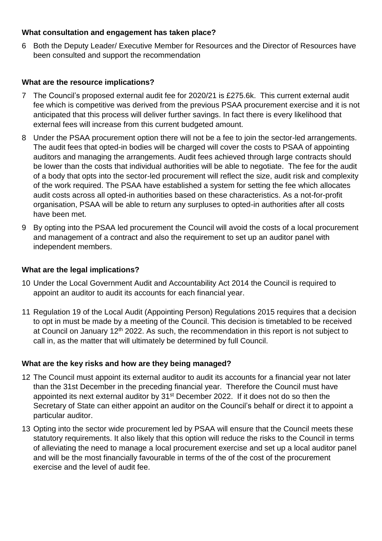### **What consultation and engagement has taken place?**

6 Both the Deputy Leader/ Executive Member for Resources and the Director of Resources have been consulted and support the recommendation

### **What are the resource implications?**

- The Council's proposed external audit fee for 2020/21 is £275.6k. This current external audit fee which is competitive was derived from the previous PSAA procurement exercise and it is not anticipated that this process will deliver further savings. In fact there is every likelihood that external fees will increase from this current budgeted amount.
- 8 Under the PSAA procurement option there will not be a fee to join the sector-led arrangements. The audit fees that opted-in bodies will be charged will cover the costs to PSAA of appointing auditors and managing the arrangements. Audit fees achieved through large contracts should be lower than the costs that individual authorities will be able to negotiate. The fee for the audit of a body that opts into the sector-led procurement will reflect the size, audit risk and complexity of the work required. The PSAA have established a system for setting the fee which allocates audit costs across all opted-in authorities based on these characteristics. As a not-for-profit organisation, PSAA will be able to return any surpluses to opted-in authorities after all costs have been met.
- 9 By opting into the PSAA led procurement the Council will avoid the costs of a local procurement and management of a contract and also the requirement to set up an auditor panel with independent members.

#### **What are the legal implications?**

- 10 Under the Local Government Audit and Accountability Act 2014 the Council is required to appoint an auditor to audit its accounts for each financial year.
- 11 Regulation 19 of the Local Audit (Appointing Person) Regulations 2015 requires that a decision to opt in must be made by a meeting of the Council. This decision is timetabled to be received at Council on January 12<sup>th</sup> 2022. As such, the recommendation in this report is not subject to call in, as the matter that will ultimately be determined by full Council.

## **What are the key risks and how are they being managed?**

- 12 The Council must appoint its external auditor to audit its accounts for a financial year not later than the 31st December in the preceding financial year. Therefore the Council must have appointed its next external auditor by 31<sup>st</sup> December 2022. If it does not do so then the Secretary of State can either appoint an auditor on the Council's behalf or direct it to appoint a particular auditor.
- 13 Opting into the sector wide procurement led by PSAA will ensure that the Council meets these statutory requirements. It also likely that this option will reduce the risks to the Council in terms of alleviating the need to manage a local procurement exercise and set up a local auditor panel and will be the most financially favourable in terms of the of the cost of the procurement exercise and the level of audit fee.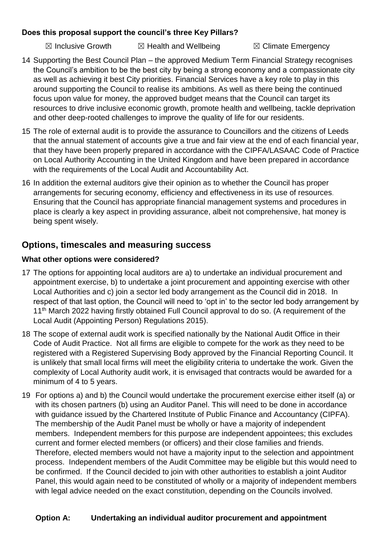## **Does this proposal support the council's three Key Pillars?**

 $\boxtimes$  Inclusive Growth  $\boxtimes$  Health and Wellbeing  $\boxtimes$  Climate Emergency

- 14 Supporting the Best Council Plan the approved Medium Term Financial Strategy recognises the Council's ambition to be the best city by being a strong economy and a compassionate city as well as achieving it best City priorities. Financial Services have a key role to play in this around supporting the Council to realise its ambitions. As well as there being the continued focus upon value for money, the approved budget means that the Council can target its resources to drive inclusive economic growth, promote health and wellbeing, tackle deprivation and other deep-rooted challenges to improve the quality of life for our residents.
- 15 The role of external audit is to provide the assurance to Councillors and the citizens of Leeds that the annual statement of accounts give a true and fair view at the end of each financial year, that they have been properly prepared in accordance with the CIPFA/LASAAC Code of Practice on Local Authority Accounting in the United Kingdom and have been prepared in accordance with the requirements of the Local Audit and Accountability Act.
- 16 In addition the external auditors give their opinion as to whether the Council has proper arrangements for securing economy, efficiency and effectiveness in its use of resources. Ensuring that the Council has appropriate financial management systems and procedures in place is clearly a key aspect in providing assurance, albeit not comprehensive, hat money is being spent wisely.

# **Options, timescales and measuring success**

## **What other options were considered?**

- 17 The options for appointing local auditors are a) to undertake an individual procurement and appointment exercise, b) to undertake a joint procurement and appointing exercise with other Local Authorities and c) join a sector led body arrangement as the Council did in 2018. In respect of that last option, the Council will need to 'opt in' to the sector led body arrangement by 11<sup>th</sup> March 2022 having firstly obtained Full Council approval to do so. (A requirement of the Local Audit (Appointing Person) Regulations 2015).
- 18 The scope of external audit work is specified nationally by the National Audit Office in their Code of Audit Practice. Not all firms are eligible to compete for the work as they need to be registered with a Registered Supervising Body approved by the Financial Reporting Council. It is unlikely that small local firms will meet the eligibility criteria to undertake the work. Given the complexity of Local Authority audit work, it is envisaged that contracts would be awarded for a minimum of 4 to 5 years.
- 19 For options a) and b) the Council would undertake the procurement exercise either itself (a) or with its chosen partners (b) using an Auditor Panel. This will need to be done in accordance with guidance issued by the Chartered Institute of Public Finance and Accountancy (CIPFA). The membership of the Audit Panel must be wholly or have a majority of independent members. Independent members for this purpose are independent appointees; this excludes current and former elected members (or officers) and their close families and friends. Therefore, elected members would not have a majority input to the selection and appointment process. Independent members of the Audit Committee may be eligible but this would need to be confirmed. If the Council decided to join with other authorities to establish a joint Auditor Panel, this would again need to be constituted of wholly or a majority of independent members with legal advice needed on the exact constitution, depending on the Councils involved.

## **Option A: Undertaking an individual auditor procurement and appointment**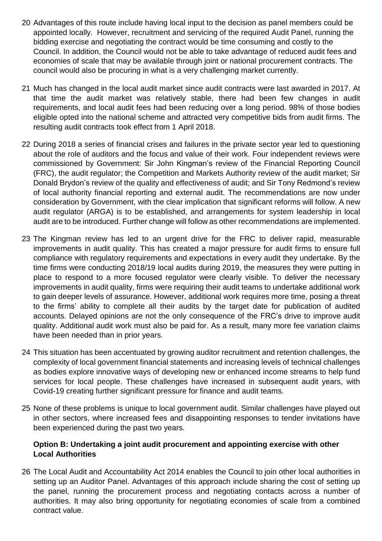- 20 Advantages of this route include having local input to the decision as panel members could be appointed locally. However, recruitment and servicing of the required Audit Panel, running the bidding exercise and negotiating the contract would be time consuming and costly to the Council. In addition, the Council would not be able to take advantage of reduced audit fees and economies of scale that may be available through joint or national procurement contracts. The council would also be procuring in what is a very challenging market currently.
- 21 Much has changed in the local audit market since audit contracts were last awarded in 2017. At that time the audit market was relatively stable, there had been few changes in audit requirements, and local audit fees had been reducing over a long period. 98% of those bodies eligible opted into the national scheme and attracted very competitive bids from audit firms. The resulting audit contracts took effect from 1 April 2018.
- 22 During 2018 a series of financial crises and failures in the private sector year led to questioning about the role of auditors and the focus and value of their work. Four independent reviews were commissioned by Government: Sir John Kingman's review of the Financial Reporting Council (FRC), the audit regulator; the Competition and Markets Authority review of the audit market; Sir Donald Brydon's review of the quality and effectiveness of audit; and Sir Tony Redmond's review of local authority financial reporting and external audit. The recommendations are now under consideration by Government, with the clear implication that significant reforms will follow. A new audit regulator (ARGA) is to be established, and arrangements for system leadership in local audit are to be introduced. Further change will follow as other recommendations are implemented.
- 23 The Kingman review has led to an urgent drive for the FRC to deliver rapid, measurable improvements in audit quality. This has created a major pressure for audit firms to ensure full compliance with regulatory requirements and expectations in every audit they undertake. By the time firms were conducting 2018/19 local audits during 2019, the measures they were putting in place to respond to a more focused regulator were clearly visible. To deliver the necessary improvements in audit quality, firms were requiring their audit teams to undertake additional work to gain deeper levels of assurance. However, additional work requires more time, posing a threat to the firms' ability to complete all their audits by the target date for publication of audited accounts. Delayed opinions are not the only consequence of the FRC's drive to improve audit quality. Additional audit work must also be paid for. As a result, many more fee variation claims have been needed than in prior years.
- 24 This situation has been accentuated by growing auditor recruitment and retention challenges, the complexity of local government financial statements and increasing levels of technical challenges as bodies explore innovative ways of developing new or enhanced income streams to help fund services for local people. These challenges have increased in subsequent audit years, with Covid-19 creating further significant pressure for finance and audit teams.
- 25 None of these problems is unique to local government audit. Similar challenges have played out in other sectors, where increased fees and disappointing responses to tender invitations have been experienced during the past two years.

## **Option B: Undertaking a joint audit procurement and appointing exercise with other Local Authorities**

26 The Local Audit and Accountability Act 2014 enables the Council to join other local authorities in setting up an Auditor Panel. Advantages of this approach include sharing the cost of setting up the panel, running the procurement process and negotiating contacts across a number of authorities. It may also bring opportunity for negotiating economies of scale from a combined contract value.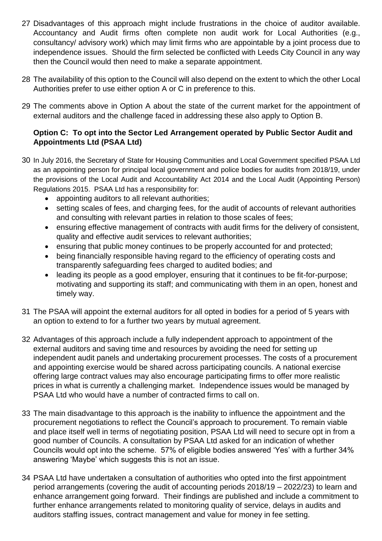- 27 Disadvantages of this approach might include frustrations in the choice of auditor available. Accountancy and Audit firms often complete non audit work for Local Authorities (e.g., consultancy/ advisory work) which may limit firms who are appointable by a joint process due to independence issues. Should the firm selected be conflicted with Leeds City Council in any way then the Council would then need to make a separate appointment.
- 28 The availability of this option to the Council will also depend on the extent to which the other Local Authorities prefer to use either option A or C in preference to this.
- 29 The comments above in Option A about the state of the current market for the appointment of external auditors and the challenge faced in addressing these also apply to Option B.

## **Option C: To opt into the Sector Led Arrangement operated by Public Sector Audit and Appointments Ltd (PSAA Ltd)**

- 30 In July 2016, the Secretary of State for Housing Communities and Local Government specified PSAA Ltd as an appointing person for principal local government and police bodies for audits from 2018/19, under the provisions of the Local Audit and Accountability Act 2014 and the Local Audit (Appointing Person) Regulations 2015. PSAA Ltd has a responsibility for:
	- appointing auditors to all relevant authorities;
	- setting scales of fees, and charging fees, for the audit of accounts of relevant authorities and consulting with relevant parties in relation to those scales of fees;
	- ensuring effective management of contracts with audit firms for the delivery of consistent, quality and effective audit services to relevant authorities;
	- ensuring that public money continues to be properly accounted for and protected;
	- being financially responsible having regard to the efficiency of operating costs and transparently safeguarding fees charged to audited bodies; and
	- leading its people as a good employer, ensuring that it continues to be fit-for-purpose; motivating and supporting its staff; and communicating with them in an open, honest and timely way.
- 31 The PSAA will appoint the external auditors for all opted in bodies for a period of 5 years with an option to extend to for a further two years by mutual agreement.
- 32 Advantages of this approach include a fully independent approach to appointment of the external auditors and saving time and resources by avoiding the need for setting up independent audit panels and undertaking procurement processes. The costs of a procurement and appointing exercise would be shared across participating councils. A national exercise offering large contract values may also encourage participating firms to offer more realistic prices in what is currently a challenging market. Independence issues would be managed by PSAA Ltd who would have a number of contracted firms to call on.
- 33 The main disadvantage to this approach is the inability to influence the appointment and the procurement negotiations to reflect the Council's approach to procurement. To remain viable and place itself well in terms of negotiating position, PSAA Ltd will need to secure opt in from a good number of Councils. A consultation by PSAA Ltd asked for an indication of whether Councils would opt into the scheme. 57% of eligible bodies answered 'Yes' with a further 34% answering 'Maybe' which suggests this is not an issue.
- 34 PSAA Ltd have undertaken a consultation of authorities who opted into the first appointment period arrangements (covering the audit of accounting periods 2018/19 – 2022/23) to learn and enhance arrangement going forward. Their findings are published and include a commitment to further enhance arrangements related to monitoring quality of service, delays in audits and auditors staffing issues, contract management and value for money in fee setting.